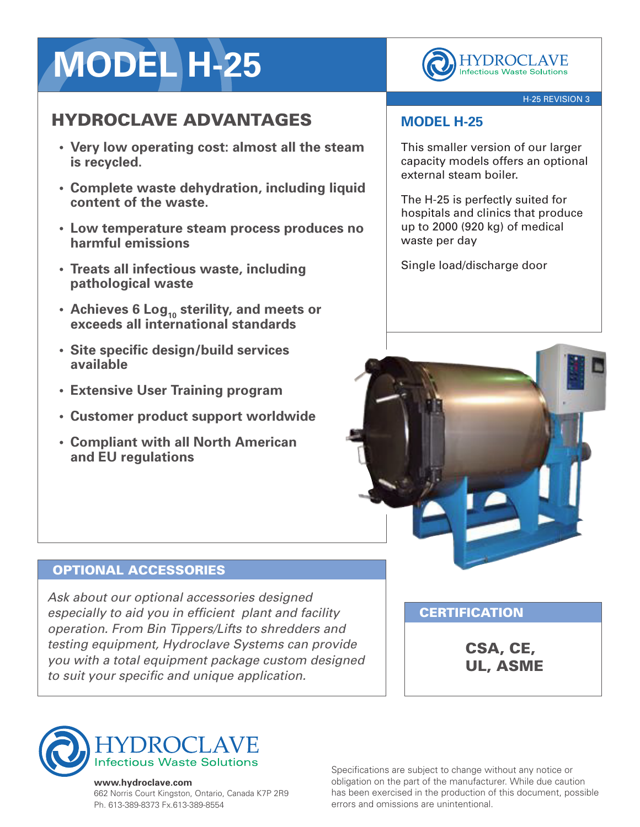# **MODEL H-25**

## HYDROCLAVE ADVANTAGES

- **• Very low operating cost: almost all the steam is recycled.**
- **• Complete waste dehydration, including liquid content of the waste.**
- **• Low temperature steam process produces no harmful emissions**
- **• Treats all infectious waste, including pathological waste**
- **• Achieves 6 Log<sup>10</sup> sterility, and meets or exceeds all international standards**
- **• Site specific design/build services available**
- **• Extensive User Training program**
- **• Customer product support worldwide**
- **• Compliant with all North American and EU regulations**

**HYDROCLAVE Infectious Waste Solutions** 

#### H-25 REVISION 3

## **MODEL H-25**

This smaller version of our larger capacity models offers an optional external steam boiler.

The H-25 is perfectly suited for hospitals and clinics that produce up to 2000 (920 kg) of medical waste per day

Single load/discharge door



## OPTIONAL ACCESSORIES

*Ask about our optional accessories designed especially to aid you in efficient plant and facility operation. From Bin Tippers/Lifts to shredders and testing equipment, Hydroclave Systems can provide you with a total equipment package custom designed to suit your specific and unique application.*

**CERTIFICATION** 

CSA, CE, UL, ASME



#### **www.hydroclave.com**

662 Norris Court Kingston, Ontario, Canada K7P 2R9 Ph. 613-389-8373 Fx.613-389-8554

Specifications are subject to change without any notice or obligation on the part of the manufacturer. While due caution has been exercised in the production of this document, possible errors and omissions are unintentional.